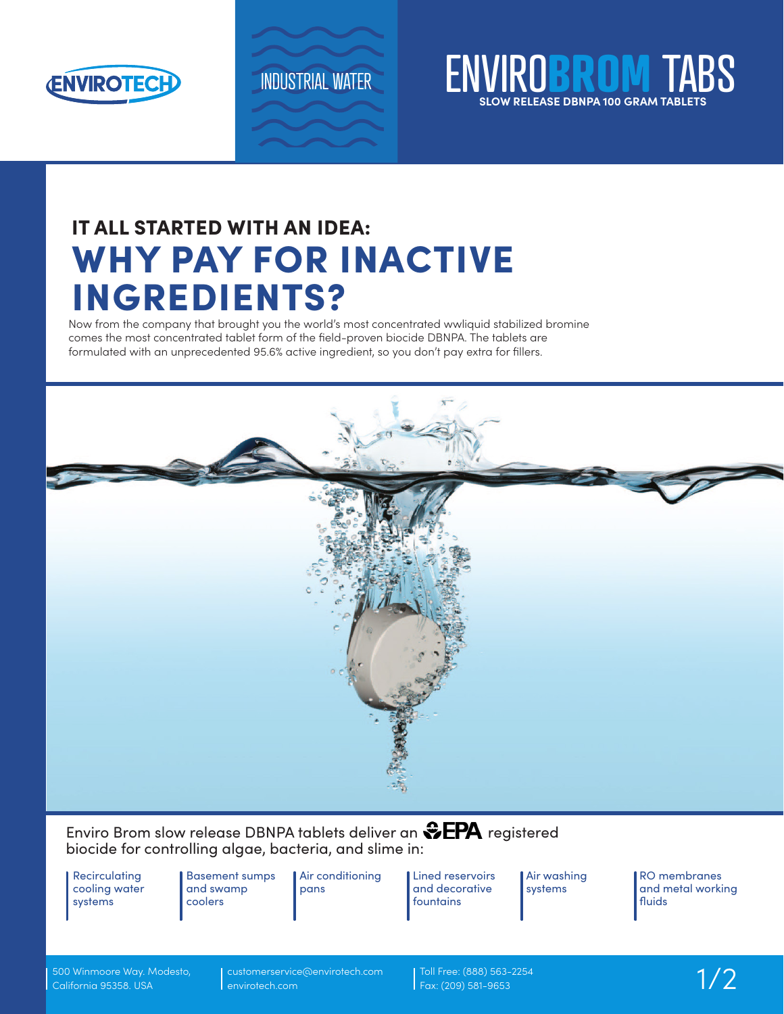

## INDUSTRIAL WATER **ENVIROBROM SLOW RELEASE DBNPA 100 GRAM TABLETS**

# IT ALL STARTED WITH AN IDEA: WHY PAY FOR INACTIVE INGREDIENTS?

Now from the company that brought you the world's most concentrated wwliquid stabilized bromine comes the most concentrated tablet form of the field-proven biocide DBNPA. The tablets are formulated with an unprecedented 95.6% active ingredient, so you don't pay extra for fillers.



## Enviro Brom slow release DBNPA tablets deliver an  $\clubsuit$ EPA registered biocide for controlling algae, bacteria, and slime in:

**Recirculating** cooling water systems

Basement sumps and swamp coolers

Air conditioning pans

**Lined reservoirs** and decorative fountains

Air washing systems

RO membranes and metal working fluids

500 Winmoore Way. Modesto, California 95358. USA

customerservice@envirotech.com envirotech.com

Toll Free: (888) 563-2254<br>Fax: (209) 581-9653 1/2